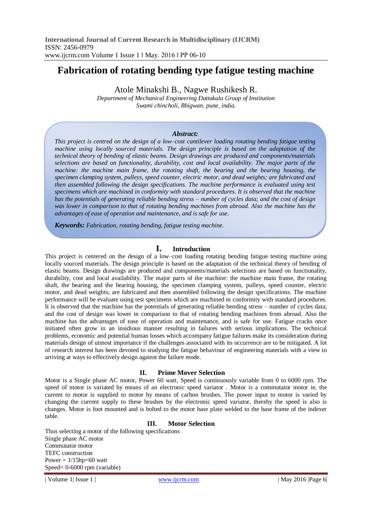# **Fabrication of rotating bending type fatigue testing machine**

Atole Minakshi B., Nagwe Rushikesh R.

*Department of Mechanical Engineering Dattakala Group of Institution Swami chincholi, Bhigwan, pune, india.*

### *Abstract:*

*This project is centred on the design of a low–cost cantilever loading rotating bending fatigue testing machine using locally sourced materials. The design principle is based on the adaptation of the technical theory of bending of elastic beams. Design drawings are produced and components/materials selections are based on functionality, durability, cost and local availability. The major parts of the machine: the machine main frame, the rotating shaft, the bearing and the bearing housing, the specimen clamping system, pulleys, speed counter, electric motor, and dead weights; are fabricated and then assembled following the design specifications. The machine performance is evaluated using test specimens which are machined in conformity with standard procedures. It is observed that the machine has the potentials of generating reliable bending stress – number of cycles data; and the cost of design was lower in comparison to that of rotating bending machines from abroad. Also the machine has the advantages of ease of operation and maintenance, and is safe for use.*

*Keywords: Fabrication, rotating bending, fatigue testing machine.*

### **I. Introduction**

This project is centered on the design of a low–cost loading rotating bending fatigue testing machine using locally sourced materials. The design principle is based on the adaptation of the technical theory of bending of elastic beams. Design drawings are produced and components/materials selections are based on functionality, durability, cost and local availability. The major parts of the machine: the machine main frame, the rotating shaft, the bearing and the bearing housing, the specimen clamping system, pulleys, speed counter, electric motor, and dead weights; are fabricated and then assembled following the design specifications. The machine performance will be evaluate using test specimens which are machined in conformity with standard procedures. It is observed that the machine has the potentials of generating reliable bending stress – number of cycles data; and the cost of design was lower in comparison to that of rotating bending machines from abroad. Also the machine has the advantages of ease of operation and maintenance, and is safe for use. Fatigue cracks once initiated often grow in an insidious manner resulting in failures with serious implications. The technical problems, economic and potential human losses which accompany fatigue failures make its consideration during materials design of utmost importance if the challenges associated with its occurrence are to be mitigated. A lot of research interest has been devoted to studying the fatigue behaviour of engineering materials with a view to arriving at ways to effectively design against the failure mode.

### **II. Prime Mover Selection**

Motor is a Single phase AC motor, Power 60 watt, Speed is continuously variable from 0 to 6000 rpm. The speed of motor is variated by means of an electronic speed variator . Motor is a commutator motor ie, the current to motor is supplied to motor by means of carbon brushes. The power input to motor is varied by changing the current supply to these brushes by the electronic speed variator, thereby the speed is also is changes. Motor is foot mounted and is bolted to the motor base plate welded to the base frame of the indexer table.

### **III. Motor Selection**

Thus selecting a motor of the following specifications Single phase AC motor Commutator motor TEFC construction Power  $= 1/15$ hp=60 watt Speed= 0-6000 rpm (variable)

| Volume 1| Issue 1 | www.ijcrm.com | May 2016 |Page 6|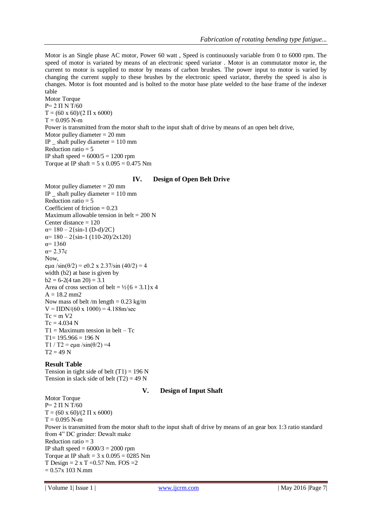Motor is an Single phase AC motor, Power 60 watt , Speed is continuously variable from 0 to 6000 rpm. The speed of motor is variated by means of an electronic speed variator . Motor is an commutator motor ie, the current to motor is supplied to motor by means of carbon brushes. The power input to motor is varied by changing the current supply to these brushes by the electronic speed variator, thereby the speed is also is changes. Motor is foot mounted and is bolted to the motor base plate welded to the base frame of the indexer table

Motor Torque P= 2 П N T/60  $T = (60 \times 60)/(2 \Pi \times 6000)$  $T = 0.095$  N-m Power is transmitted from the motor shaft to the input shaft of drive by means of an open belt drive, Motor pulley diameter  $= 20$  mm IP shaft pulley diameter  $= 110$  mm Reduction ratio  $= 5$ IP shaft speed  $= 6000/5 = 1200$  rpm Torque at IP shaft =  $5 \times 0.095 = 0.475$  Nm

#### **IV. Design of Open Belt Drive**

Motor pulley diameter  $= 20$  mm IP shaft pulley diameter  $= 110$  mm Reduction ratio  $= 5$ Coefficient of friction  $= 0.23$ Maximum allowable tension in belt =  $200 \text{ N}$ Center distance = 120  $\alpha$ = 180 – 2{sin-1 (D-d)/2C}  $\alpha$ = 180 – 2{sin-1 (110-20)/2x120}  $α= 1360$  $\alpha$ = 2.37c Now, eμα /sin( $\theta$ /2) = e0.2 x 2.37/sin (40/2) = 4 width (b2) at base is given by  $b2 = 6-2(4 \tan 20) = 3.1$ Area of cross section of belt =  $\frac{1}{2}$ {6 + 3.1}x 4  $A = 18.2$  mm2 Now mass of belt /m length  $= 0.23$  kg/m  $V = \Pi DN/(60 \times 1000) = 4.188 m/sec$  $Tc = m V2$  $Tc = 4.034 N$  $T1 =$  Maximum tension in belt – Tc  $T1= 195.966 = 196 N$ T1 / T2 = eμα /sin( $\theta$ /2) = 4  $T2 = 49 N$ 

#### **Result Table**

Tension in tight side of belt  $(T1) = 196$  N Tension in slack side of belt  $(T2) = 49$  N

#### **V. Design of Input Shaft**

Motor Torque  $P= 2 \Pi N T/60$  $T = (60 \times 60)/(2 \Pi \times 6000)$  $T = 0.095$  N-m Power is transmitted from the motor shaft to the input shaft of drive by means of an gear box 1:3 ratio standard from 4" DC grinder: Dewalt make Reduction ratio = 3 IP shaft speed  $= 6000/3 = 2000$  rpm Torque at IP shaft =  $3 \times 0.095 = 0285$  Nm T Design  $= 2 \times T = 0.57$  Nm. FOS  $= 2$  $= 0.57x$  103 N.mm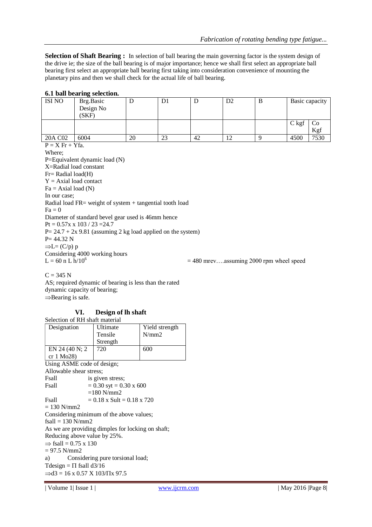**Selection of Shaft Bearing :** In selection of ball bearing the main governing factor is the system design of the drive ie; the size of the ball bearing is of major importance; hence we shall first select an appropriate ball bearing first select an appropriate ball bearing first taking into consideration convenience of mounting the planetary pins and then we shall check for the actual life of ball bearing.

### **6.1 ball bearing selection.**

| <b>ISI NO</b> | Brg.Basic |    | DΙ |    | D2 | B | Basic capacity |      |  |
|---------------|-----------|----|----|----|----|---|----------------|------|--|
|               | Design No |    |    |    |    |   |                |      |  |
|               | (SKF)     |    |    |    |    |   |                |      |  |
|               |           |    |    |    |    |   | $C$ kgf        | Co   |  |
|               |           |    |    |    |    |   |                | Kgf  |  |
| 20A C02       | 6004      | 20 | 23 | 42 | 12 |   | 4500           | 7530 |  |

 $P = X Fr + Yfa$ . Where; P=Equivalent dynamic load (N) X=Radial load constant Fr= Radial load(H)  $Y = Axial load contact$  $Fa = Axial load (N)$ In our case; Radial load FR= weight of system + tangential tooth load  $Fa = 0$ Diameter of standard bevel gear used is 46mm hence  $Pt = 0.57x \times 103 / 23 = 24.7$  $P = 24.7 + 2x\,9.81$  (assuming 2 kg load applied on the system)  $P = 44.32 N$  $\Rightarrow L = (C/p) p$ Considering 4000 working hours  $L = 60$  n L  $h/10^6$  $= 480$  mrev....assuming 2000 rpm wheel speed

 $C = 345 N$ 

AS; required dynamic of bearing is less than the rated dynamic capacity of bearing;  $\Rightarrow$ Bearing is safe.

### **VI. Design of lh shaft**

| Selection of RH shaft material                    |                                |                |  |  |  |  |
|---------------------------------------------------|--------------------------------|----------------|--|--|--|--|
| Designation                                       | Ultimate                       | Yield strength |  |  |  |  |
|                                                   | Tensile                        | N/mm2          |  |  |  |  |
|                                                   | Strength                       |                |  |  |  |  |
| EN 24 (40 N; 2)                                   | 720                            | 600            |  |  |  |  |
| cr $1 \text{ Mo28}$                               |                                |                |  |  |  |  |
| Using ASME code of design;                        |                                |                |  |  |  |  |
| Allowable shear stress;                           |                                |                |  |  |  |  |
| Esall                                             | is given stress;               |                |  |  |  |  |
| <b>Fsall</b>                                      | $= 0.30$ syt $= 0.30$ x 600    |                |  |  |  |  |
| $=180$ N/mm2                                      |                                |                |  |  |  |  |
| <b>Fsall</b>                                      | $= 0.18$ x Sult $= 0.18$ x 720 |                |  |  |  |  |
| $= 130$ N/mm2                                     |                                |                |  |  |  |  |
| Considering minimum of the above values;          |                                |                |  |  |  |  |
| $fsall = 130 N/mm2$                               |                                |                |  |  |  |  |
| As we are providing dimples for locking on shaft; |                                |                |  |  |  |  |
| Reducing above value by 25%.                      |                                |                |  |  |  |  |
| $\Rightarrow$ fsall = 0.75 x 130                  |                                |                |  |  |  |  |
| $= 97.5$ N/mm2                                    |                                |                |  |  |  |  |
| Considering pure torsional load;<br>a)            |                                |                |  |  |  |  |
| Tdesign = $\Pi$ fsall d3/16                       |                                |                |  |  |  |  |
| $\Rightarrow$ d3 = 16 x 0.57 X 103/ $\pi$ x 97.5  |                                |                |  |  |  |  |
|                                                   |                                |                |  |  |  |  |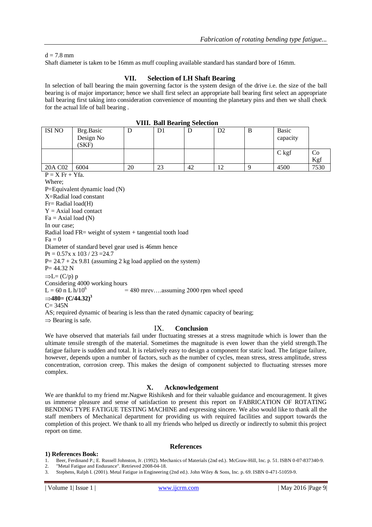#### $d = 7.8$  mm

Shaft diameter is taken to be 16mm as muff coupling available standard has standard bore of 16mm.

### **VII. Selection of LH Shaft Bearing**

In selection of ball bearing the main governing factor is the system design of the drive i.e. the size of the ball bearing is of major importance; hence we shall first select an appropriate ball bearing first select an appropriate ball bearing first taking into consideration convenience of mounting the planetary pins and then we shall check for the actual life of ball bearing .

| VIII. Ball Bearing Selection                                                                                                                                                                                                                                                                                                                                                                                                                                                                                                                                                                                                                 |                                 |    |                |    |    |   |                   |           |
|----------------------------------------------------------------------------------------------------------------------------------------------------------------------------------------------------------------------------------------------------------------------------------------------------------------------------------------------------------------------------------------------------------------------------------------------------------------------------------------------------------------------------------------------------------------------------------------------------------------------------------------------|---------------------------------|----|----------------|----|----|---|-------------------|-----------|
| <b>ISI NO</b>                                                                                                                                                                                                                                                                                                                                                                                                                                                                                                                                                                                                                                | Brg.Basic<br>Design No<br>(SKF) | D  | D <sub>1</sub> | D  | D2 | B | Basic<br>capacity |           |
|                                                                                                                                                                                                                                                                                                                                                                                                                                                                                                                                                                                                                                              |                                 |    |                |    |    |   | $C$ kgf           | Co<br>Kgf |
| 20A C <sub>02</sub>                                                                                                                                                                                                                                                                                                                                                                                                                                                                                                                                                                                                                          | 6004                            | 20 | 23             | 42 | 12 | 9 | 4500              | 7530      |
| $P = X Fr + Yfa$ .<br>Where;<br>P=Equivalent dynamic load $(N)$<br>X=Radial load constant<br>$Fr = Radial load(H)$<br>$Y = Axial load contact$<br>$Fa = Axial load (N)$<br>In our case;<br>Radial load $FR = weight of system + tangential tooth load$<br>$Fa=0$<br>Diameter of standard bevel gear used is 46mm hence<br>$Pt = 0.57x \times 103 / 23 = 24.7$<br>$P = 24.7 + 2x 9.81$ (assuming 2 kg load applied on the system)<br>$P = 44.32 N$<br>$\Rightarrow L = (C/p) p$<br>Considering 4000 working hours<br>$L = 60$ n L h/10 <sup>6</sup><br>$=$ 480 mrevassuming 2000 rpm wheel speed<br>$\Rightarrow$ 480= (C/44.32) <sup>3</sup> |                                 |    |                |    |    |   |                   |           |

## **VIII. Ball Bearing Selection**

 $C= 345N$ 

AS; required dynamic of bearing is less than the rated dynamic capacity of bearing;

#### $\Rightarrow$  Bearing is safe.

### IX. **Conclusion**

We have observed that materials fail under fluctuating stresses at a stress magnitude which is lower than the ultimate tensile strength of the material. Sometimes the magnitude is even lower than the yield strength.The fatigue failure is sudden and total. It is relatively easy to design a component for static load. The fatigue failure, however, depends upon a number of factors, such as the number of cycles, mean stress, stress amplitude, stress concentration, corrosion creep. This makes the design of component subjected to fluctuating stresses more complex.

#### **X. Acknowledgement**

We are thankful to my friend mr.Nagwe Rishikesh and for their valuable guidance and encouragement. It gives us immense pleasure and sense of satisfaction to present this report on FABRICATION OF ROTATING BENDING TYPE FATIGUE TESTING MACHINE and expressing sincere. We also would like to thank all the staff members of Mechanical department for providing us with required facilities and support towards the completion of this project. We thank to all my friends who helped us directly or indirectly to submit this project report on time.

#### **References**

#### **1) References Book:**

- 1. Beer, Ferdinand P.; E. Russell Johnston, Jr. (1992). Mechanics of Materials (2nd ed.). McGraw-Hill, Inc. p. 51. ISBN 0-07-837340-9.
- 2. "Metal Fatigue and Endurance". Retrieved 2008-04-18.
- 3. Stephens, Ralph I. (2001). Metal Fatigue in Engineering (2nd ed.). John Wiley & Sons, Inc. p. 69. ISBN 0-471-51059-9.